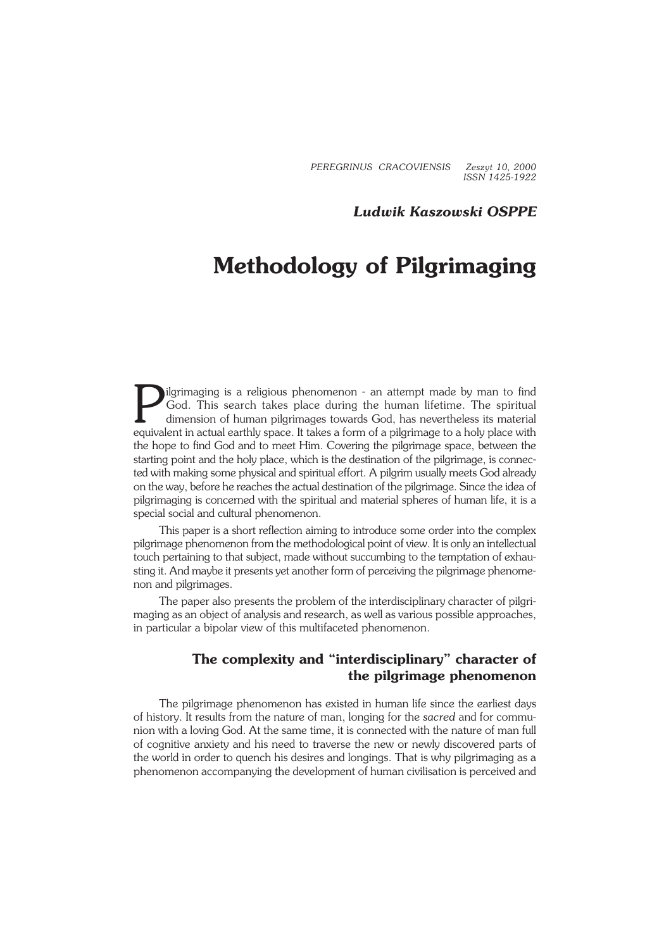*PEREGRINUS CRACOVIENSIS Zeszyt 10, 2000 ISSN 1425−1922*

#### *Ludwik Kaszowski OSPPE*

# **Methodology of Pilgrimaging**

Ilgrimaging is a religious phenomenon - an attempt made by man to find God. This search takes place during the human lifetime. The spiritual dimension of human pilgrimages towards God, has nevertheless its material equival ilgrimaging is a religious phenomenon − an attempt made by man to find God. This search takes place during the human lifetime. The spiritual dimension of human pilgrimages towards God, has nevertheless its material the hope to find God and to meet Him. Covering the pilgrimage space, between the starting point and the holy place, which is the destination of the pilgrimage, is connec− ted with making some physical and spiritual effort. A pilgrim usually meets God already on the way, before he reaches the actual destination of the pilgrimage. Since the idea of pilgrimaging is concerned with the spiritual and material spheres of human life, it is a special social and cultural phenomenon.

This paper is a short reflection aiming to introduce some order into the complex pilgrimage phenomenon from the methodological point of view. It is only an intellectual touch pertaining to that subject, made without succumbing to the temptation of exhau− sting it. And maybe it presents yet another form of perceiving the pilgrimage phenome− non and pilgrimages.

The paper also presents the problem of the interdisciplinary character of pilgrimaging as an object of analysis and research, as well as various possible approaches, in particular a bipolar view of this multifaceted phenomenon.

## **The complexity and "interdisciplinary" character of the pilgrimage phenomenon**

The pilgrimage phenomenon has existed in human life since the earliest days of history. It results from the nature of man, longing for the *sacred* and for commu− nion with a loving God. At the same time, it is connected with the nature of man full of cognitive anxiety and his need to traverse the new or newly discovered parts of the world in order to quench his desires and longings. That is why pilgrimaging as a phenomenon accompanying the development of human civilisation is perceived and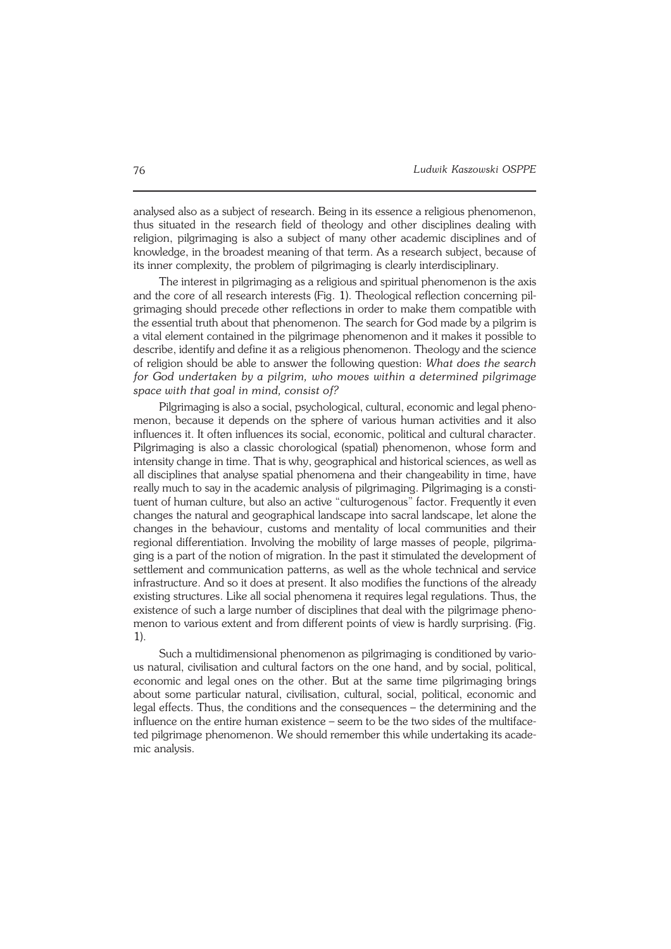analysed also as a subject of research. Being in its essence a religious phenomenon, thus situated in the research field of theology and other disciplines dealing with religion, pilgrimaging is also a subject of many other academic disciplines and of knowledge, in the broadest meaning of that term. As a research subject, because of its inner complexity, the problem of pilgrimaging is clearly interdisciplinary.

The interest in pilgrimaging as a religious and spiritual phenomenon is the axis and the core of all research interests (Fig. 1). Theological reflection concerning pil− grimaging should precede other reflections in order to make them compatible with the essential truth about that phenomenon. The search for God made by a pilgrim is a vital element contained in the pilgrimage phenomenon and it makes it possible to describe, identify and define it as a religious phenomenon. Theology and the science of religion should be able to answer the following question: *What does the search for God undertaken by a pilgrim, who moves within a determined pilgrimage space with that goal in mind, consist of?*

Pilgrimaging is also a social, psychological, cultural, economic and legal phenomenon, because it depends on the sphere of various human activities and it also influences it. It often influences its social, economic, political and cultural character. Pilgrimaging is also a classic chorological (spatial) phenomenon, whose form and intensity change in time. That is why, geographical and historical sciences, as well as all disciplines that analyse spatial phenomena and their changeability in time, have really much to say in the academic analysis of pilgrimaging. Pilgrimaging is a consti− tuent of human culture, but also an active "culturogenous" factor. Frequently it even changes the natural and geographical landscape into sacral landscape, let alone the changes in the behaviour, customs and mentality of local communities and their regional differentiation. Involving the mobility of large masses of people, pilgrima− ging is a part of the notion of migration. In the past it stimulated the development of settlement and communication patterns, as well as the whole technical and service infrastructure. And so it does at present. It also modifies the functions of the already existing structures. Like all social phenomena it requires legal regulations. Thus, the existence of such a large number of disciplines that deal with the pilgrimage pheno− menon to various extent and from different points of view is hardly surprising. (Fig. 1).

Such a multidimensional phenomenon as pilgrimaging is conditioned by vario− us natural, civilisation and cultural factors on the one hand, and by social, political, economic and legal ones on the other. But at the same time pilgrimaging brings about some particular natural, civilisation, cultural, social, political, economic and legal effects. Thus, the conditions and the consequences – the determining and the influence on the entire human existence – seem to be the two sides of the multiface− ted pilgrimage phenomenon. We should remember this while undertaking its acade− mic analysis.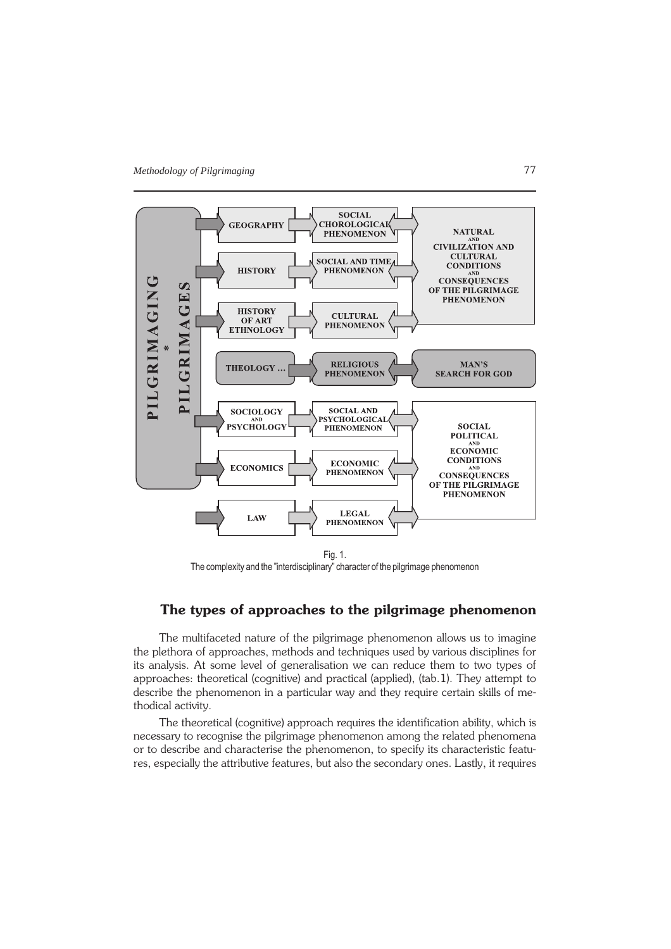

Fig. 1. The complexity and the "interdisciplinary" character of the pilgrimage phenomenon

## **The types of approaches to the pilgrimage phenomenon**

The multifaceted nature of the pilgrimage phenomenon allows us to imagine the plethora of approaches, methods and techniques used by various disciplines for its analysis. At some level of generalisation we can reduce them to two types of approaches: theoretical (cognitive) and practical (applied), (tab.1). They attempt to describe the phenomenon in a particular way and they require certain skills of me− thodical activity.

The theoretical (cognitive) approach requires the identification ability, which is necessary to recognise the pilgrimage phenomenon among the related phenomena or to describe and characterise the phenomenon, to specify its characteristic featu− res, especially the attributive features, but also the secondary ones. Lastly, it requires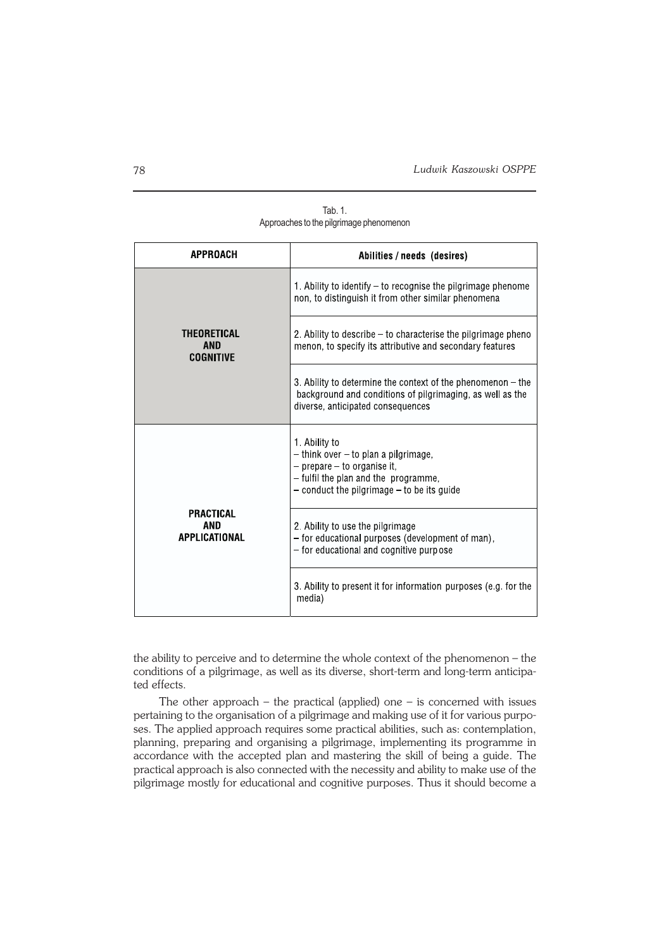| <b>APPROACH</b>                               | Abilities / needs (desires)                                                                                                                                                        |  |
|-----------------------------------------------|------------------------------------------------------------------------------------------------------------------------------------------------------------------------------------|--|
| THEORETICAL<br><b>AND</b><br><b>COGNITIVE</b> | 1. Ability to identify – to recognise the pilgrimage phenome<br>non, to distinguish it from other similar phenomena                                                                |  |
|                                               | 2. Ability to describe – to characterise the pilgrimage pheno<br>menon, to specify its attributive and secondary features                                                          |  |
|                                               | 3. Ability to determine the context of the phenomenon – the<br>background and conditions of pilgrimaging, as well as the<br>diverse, anticipated consequences                      |  |
| PRACTICAL<br>AND<br>APPLICATIONAL             | 1. Ability to<br>$-$ think over $-$ to plan a pilgrimage,<br>- prepare - to organise it,<br>- fulfil the plan and the programme,<br>$-$ conduct the pilgrimage $-$ to be its guide |  |
|                                               | 2. Ability to use the pilgrimage<br>- for educational purposes (development of man),<br>- for educational and cognitive purpose                                                    |  |
|                                               | 3. Ability to present it for information purposes (e.g. for the<br>media)                                                                                                          |  |

Tab. 1. Approaches to the pilgrimage phenomenon

the ability to perceive and to determine the whole context of the phenomenon – the conditions of a pilgrimage, as well as its diverse, short−term and long−term anticipa− ted effects.

The other approach – the practical (applied) one – is concerned with issues pertaining to the organisation of a pilgrimage and making use of it for various purpo− ses. The applied approach requires some practical abilities, such as: contemplation, planning, preparing and organising a pilgrimage, implementing its programme in accordance with the accepted plan and mastering the skill of being a guide. The practical approach is also connected with the necessity and ability to make use of the pilgrimage mostly for educational and cognitive purposes. Thus it should become a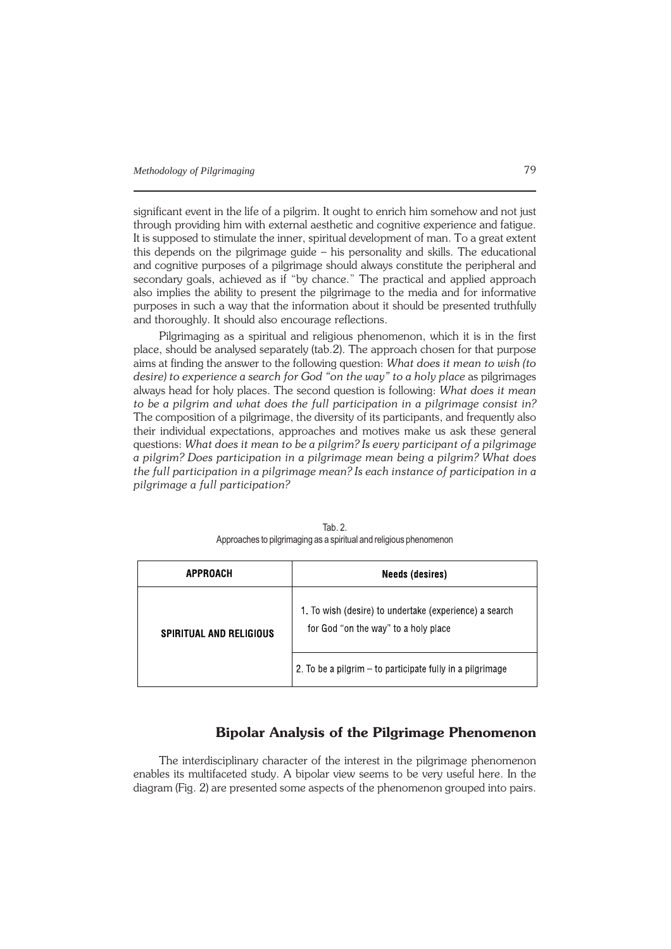significant event in the life of a pilgrim. It ought to enrich him somehow and not just through providing him with external aesthetic and cognitive experience and fatigue. It is supposed to stimulate the inner, spiritual development of man. To a great extent this depends on the pilgrimage guide – his personality and skills. The educational and cognitive purposes of a pilgrimage should always constitute the peripheral and secondary goals, achieved as if "by chance." The practical and applied approach also implies the ability to present the pilgrimage to the media and for informative purposes in such a way that the information about it should be presented truthfully and thoroughly. It should also encourage reflections.

Pilgrimaging as a spiritual and religious phenomenon, which it is in the first place, should be analysed separately (tab.2). The approach chosen for that purpose aims at finding the answer to the following question: *What does it mean to wish (to desire) to experience a search for God "on the way" to a holy place* as pilgrimages always head for holy places. The second question is following: *What does it mean to be a pilgrim and what does the full participation in a pilgrimage consist in?* The composition of a pilgrimage, the diversity of its participants, and frequently also their individual expectations, approaches and motives make us ask these general questions: *What does it mean to be a pilgrim? Is every participant of a pilgrimage a pilgrim? Does participation in a pilgrimage mean being a pilgrim? What does the full participation in a pilgrimage mean? Is each instance of participation in a pilgrimage a full participation?*

| APPROACH                       | <b>Needs (desires)</b>                                                                         |  |
|--------------------------------|------------------------------------------------------------------------------------------------|--|
| <b>SPIRITUAL AND RELIGIOUS</b> | 1. To wish (desire) to undertake (experience) a search<br>for God "on the way" to a holy place |  |
|                                | 2. To be a pilgrim – to participate fully in a pilgrimage                                      |  |

Tab. 2. Approaches to pilgrimaging as a spiritual and religious phenomenon

### **Bipolar Analysis of the Pilgrimage Phenomenon**

The interdisciplinary character of the interest in the pilgrimage phenomenon enables its multifaceted study. A bipolar view seems to be very useful here. In the diagram (Fig. 2) are presented some aspects of the phenomenon grouped into pairs.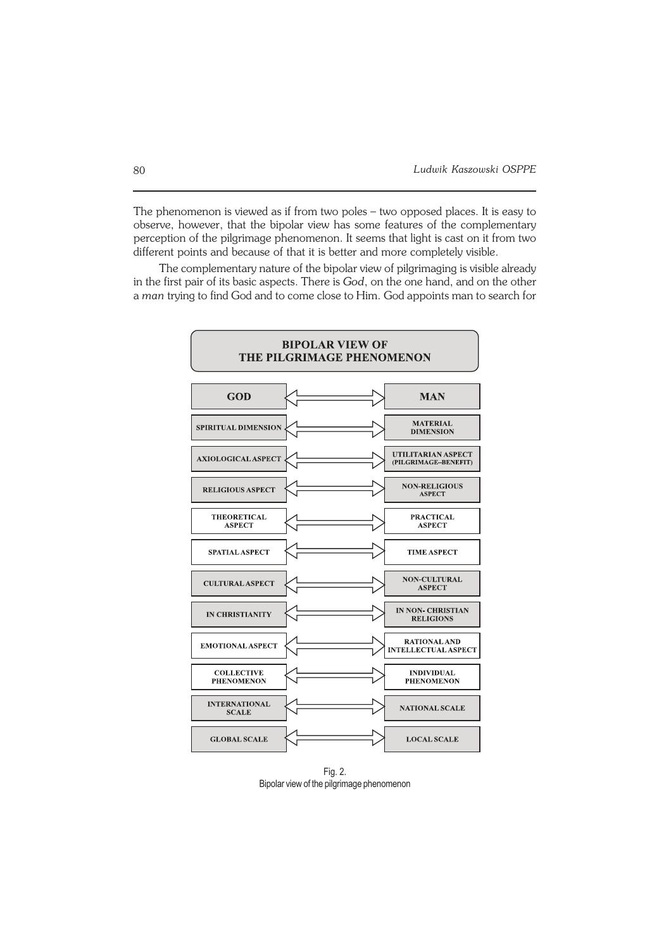The phenomenon is viewed as if from two poles – two opposed places. It is easy to observe, however, that the bipolar view has some features of the complementary perception of the pilgrimage phenomenon. It seems that light is cast on it from two different points and because of that it is better and more completely visible.

The complementary nature of the bipolar view of pilgrimaging is visible already in the first pair of its basic aspects. There is *God*, on the one hand, and on the other a *man* trying to find God and to come close to Him. God appoints man to search for

| <b>BIPOLAR VIEW OF</b><br>THE PILGRIMAGE PHENOMENON |  |                                                   |  |
|-----------------------------------------------------|--|---------------------------------------------------|--|
| GOD                                                 |  | <b>MAN</b>                                        |  |
| <b>SPIRITUAL DIMENSION</b>                          |  | <b>MATERIAL</b><br><b>DIMENSION</b>               |  |
| <b>AXIOLOGICAL ASPECT</b>                           |  | UTILITARIAN ASPECT<br>(PILGRIMAGE-BENEFIT)        |  |
| <b>RELIGIOUS ASPECT</b>                             |  | <b>NON-RELIGIOUS</b><br><b>ASPECT</b>             |  |
| <b>THEORETICAL</b><br><b>ASPECT</b>                 |  | <b>PRACTICAL</b><br><b>ASPECT</b>                 |  |
| <b>SPATIAL ASPECT</b>                               |  | <b>TIME ASPECT</b>                                |  |
| <b>CULTURAL ASPECT</b>                              |  | <b>NON-CULTURAL</b><br><b>ASPECT</b>              |  |
| <b>IN CHRISTIANITY</b>                              |  | <b>IN NON- CHRISTIAN</b><br><b>RELIGIONS</b>      |  |
| <b>EMOTIONAL ASPECT</b>                             |  | <b>RATIONAL AND</b><br><b>INTELLECTUAL ASPECT</b> |  |
| <b>COLLECTIVE</b><br><b>PHENOMENON</b>              |  | <b>INDIVIDUAL</b><br><b>PHENOMENON</b>            |  |
| <b>INTERNATIONAL</b><br><b>SCALE</b>                |  | <b>NATIONAL SCALE</b>                             |  |
| <b>GLOBAL SCALE</b>                                 |  | <b>LOCAL SCALE</b>                                |  |

Fig. 2. Bipolar view of the pilgrimage phenomenon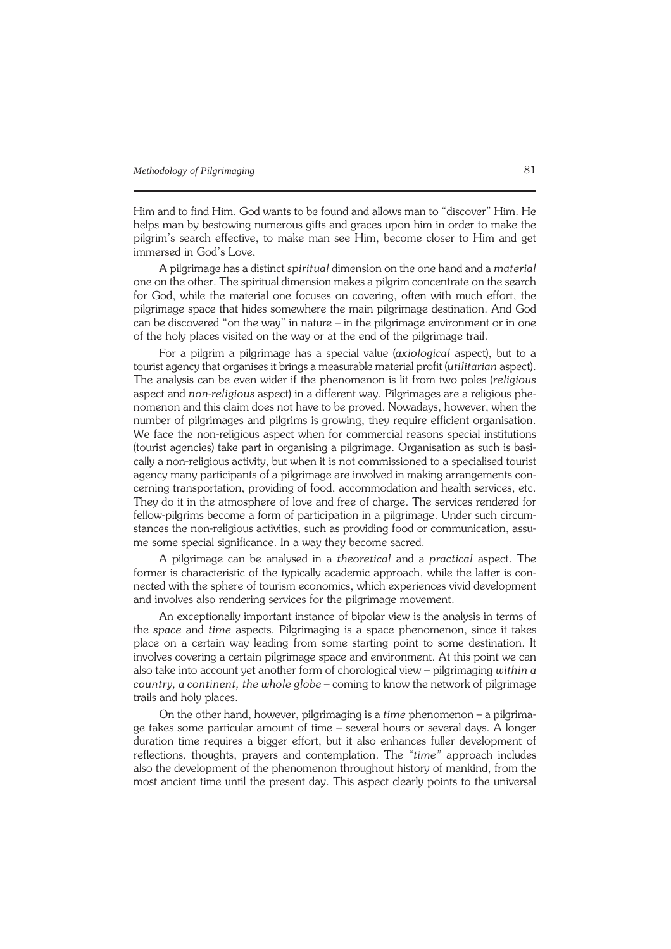Him and to find Him. God wants to be found and allows man to "discover" Him. He helps man by bestowing numerous gifts and graces upon him in order to make the pilgrim's search effective, to make man see Him, become closer to Him and get immersed in God's Love,

A pilgrimage has a distinct *spiritual* dimension on the one hand and a *material* one on the other. The spiritual dimension makes a pilgrim concentrate on the search for God, while the material one focuses on covering, often with much effort, the pilgrimage space that hides somewhere the main pilgrimage destination. And God can be discovered "on the way" in nature – in the pilgrimage environment or in one of the holy places visited on the way or at the end of the pilgrimage trail.

For a pilgrim a pilgrimage has a special value (*axiological* aspect), but to a tourist agency that organises it brings a measurable material profit (*utilitarian* aspect). The analysis can be even wider if the phenomenon is lit from two poles (*religious* aspect and *non−religious* aspect) in a different way. Pilgrimages are a religious phe− nomenon and this claim does not have to be proved. Nowadays, however, when the number of pilgrimages and pilgrims is growing, they require efficient organisation. We face the non−religious aspect when for commercial reasons special institutions (tourist agencies) take part in organising a pilgrimage. Organisation as such is basi− cally a non−religious activity, but when it is not commissioned to a specialised tourist agency many participants of a pilgrimage are involved in making arrangements con− cerning transportation, providing of food, accommodation and health services, etc. They do it in the atmosphere of love and free of charge. The services rendered for fellow−pilgrims become a form of participation in a pilgrimage. Under such circum− stances the non−religious activities, such as providing food or communication, assu− me some special significance. In a way they become sacred.

A pilgrimage can be analysed in a *theoretical* and a *practical* aspect. The former is characteristic of the typically academic approach, while the latter is con− nected with the sphere of tourism economics, which experiences vivid development and involves also rendering services for the pilgrimage movement.

An exceptionally important instance of bipolar view is the analysis in terms of the *space* and *time* aspects. Pilgrimaging is a space phenomenon, since it takes place on a certain way leading from some starting point to some destination. It involves covering a certain pilgrimage space and environment. At this point we can also take into account yet another form of chorological view – pilgrimaging *within a country, a continent, the whole globe* – coming to know the network of pilgrimage trails and holy places.

On the other hand, however, pilgrimaging is a *time* phenomenon – a pilgrima− ge takes some particular amount of time – several hours or several days. A longer duration time requires a bigger effort, but it also enhances fuller development of reflections, thoughts, prayers and contemplation. The *"time"* approach includes also the development of the phenomenon throughout history of mankind, from the most ancient time until the present day. This aspect clearly points to the universal